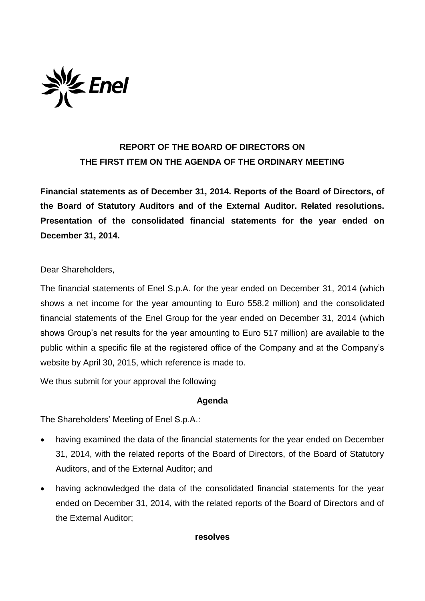

## **REPORT OF THE BOARD OF DIRECTORS ON THE FIRST ITEM ON THE AGENDA OF THE ORDINARY MEETING**

**Financial statements as of December 31, 2014. Reports of the Board of Directors, of the Board of Statutory Auditors and of the External Auditor. Related resolutions. Presentation of the consolidated financial statements for the year ended on December 31, 2014.**

Dear Shareholders,

The financial statements of Enel S.p.A. for the year ended on December 31, 2014 (which shows a net income for the year amounting to Euro 558.2 million) and the consolidated financial statements of the Enel Group for the year ended on December 31, 2014 (which shows Group's net results for the year amounting to Euro 517 million) are available to the public within a specific file at the registered office of the Company and at the Company's website by April 30, 2015, which reference is made to.

We thus submit for your approval the following

## **Agenda**

The Shareholders' Meeting of Enel S.p.A.:

- having examined the data of the financial statements for the year ended on December 31, 2014, with the related reports of the Board of Directors, of the Board of Statutory Auditors, and of the External Auditor; and
- having acknowledged the data of the consolidated financial statements for the year ended on December 31, 2014, with the related reports of the Board of Directors and of the External Auditor;

## **resolves**